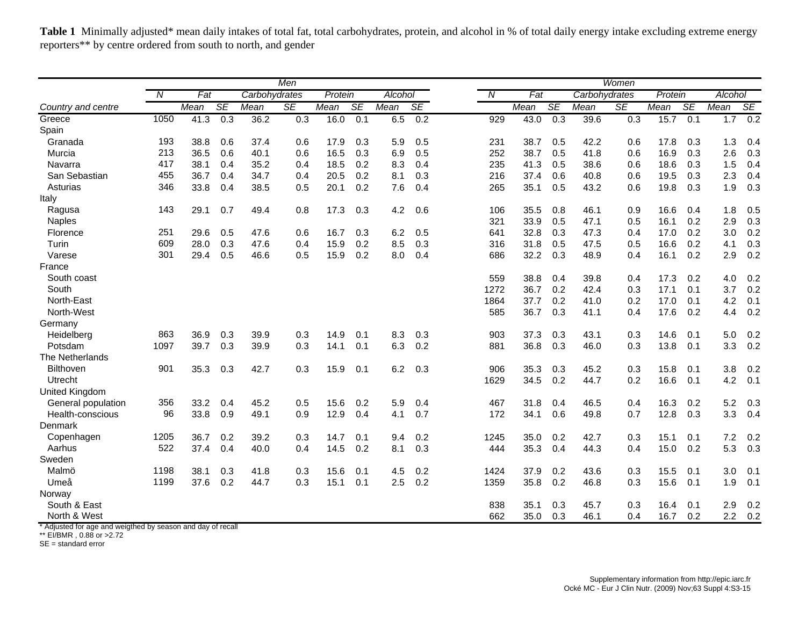Table 1 Minimally adjusted\* mean daily intakes of total fat, total carbohydrates, protein, and alcohol in % of total daily energy intake excluding extreme energy reporters\*\* by centre ordered from south to north, and gender

| $\overline{N}$<br>Fat<br>Protein<br>N<br>Fat<br>Protein<br>Alcohol<br>Carbohydrates<br>Alcohol<br>Carbohydrates<br><b>SE</b><br><b>SE</b><br><b>SE</b><br><b>SE</b><br><b>SE</b><br><b>SE</b><br>Mean<br>SE<br>SE<br>Mean<br>Mean<br>Mean<br>Mean<br>Mean<br>Mean<br>Mean<br>Country and centre<br>1050<br>0.3<br>36.2<br>0.3<br>16.0<br>0.1<br>6.5<br>0.2<br>929<br>0.3<br>15.7<br>1.7<br>Greece<br>41.3<br>43.0<br>0.3<br>39.6<br>0.1<br>Spain<br>193<br>Granada<br>38.8<br>0.6<br>37.4<br>17.9<br>0.3<br>5.9<br>0.5<br>231<br>38.7<br>0.5<br>42.2<br>17.8<br>1.3<br>0.6<br>0.6<br>0.3<br>213<br>Murcia<br>36.5<br>0.6<br>40.1<br>16.5<br>0.3<br>0.5<br>252<br>38.7<br>0.5<br>41.8<br>0.6<br>16.9<br>0.3<br>2.6<br>0.6<br>6.9<br>417<br>0.4<br>35.2<br>18.5<br>0.2<br>0.4<br>235<br>41.3<br>0.5<br>38.6<br>18.6<br>0.3<br>1.5<br>38.1<br>8.3<br>0.6<br>Navarra<br>0.4<br>San Sebastian<br>0.2<br>2.3<br>455<br>36.7<br>0.4<br>34.7<br>20.5<br>0.3<br>216<br>37.4<br>0.6<br>40.8<br>19.5<br>0.3<br>0.4<br>8.1<br>0.6<br>Asturias<br>346<br>33.8<br>0.4<br>0.2<br>0.4<br>35.1<br>0.5<br>43.2<br>19.8<br>0.3<br>1.9<br>38.5<br>0.5<br>20.1<br>7.6<br>265<br>0.6<br>Italy<br>143<br>0.7<br>49.4<br>17.3<br>0.3<br>4.2<br>0.6<br>35.5<br>0.8<br>16.6<br>1.8<br>29.1<br>0.8<br>106<br>46.1<br>0.9<br>0.4<br>Ragusa<br><b>Naples</b><br>321<br>33.9<br>0.5<br>47.1<br>0.5<br>16.1<br>0.2<br>2.9<br>251<br>Florence<br>29.6<br>0.5<br>47.6<br>16.7<br>0.3<br>6.2<br>0.5<br>641<br>32.8<br>0.3<br>47.3<br>17.0<br>0.2<br>3.0<br>0.6<br>0.4<br>Turin<br>609<br>0.3<br>0.2<br>0.3<br>31.8<br>47.5<br>16.6<br>28.0<br>47.6<br>15.9<br>8.5<br>316<br>0.5<br>0.5<br>0.2<br>0.4<br>4.1<br>0.2<br>0.2<br>301<br>29.4<br>0.5<br>0.5<br>15.9<br>0.4<br>32.2<br>0.3<br>48.9<br>16.1<br>2.9<br>Varese<br>46.6<br>8.0<br>686<br>0.4<br>France<br>South coast<br>559<br>4.0<br>38.8<br>0.4<br>39.8<br>0.4<br>17.3<br>0.2<br>South<br>1272<br>36.7<br>0.2<br>3.7<br>42.4<br>0.3<br>17.1<br>0.1<br>North-East<br>0.2<br>1864<br>37.7<br>41.0<br>0.2<br>17.0<br>0.1<br>4.2<br>North-West<br>585<br>36.7<br>0.3<br>17.6<br>0.2<br>41.1<br>0.4<br>4.4<br>Germany<br>863<br>37.3<br>0.3<br>14.6<br>Heidelberg<br>36.9<br>0.3<br>39.9<br>0.3<br>14.9<br>0.1<br>8.3<br>0.3<br>903<br>0.3<br>43.1<br>0.1<br>5.0<br>1097<br>0.3<br>39.9<br>0.1<br>0.2<br>Potsdam<br>39.7<br>0.3<br>14.1<br>6.3<br>881<br>36.8<br>0.3<br>46.0<br>0.3<br>13.8<br>0.1<br>3.3<br>The Netherlands<br>Bilthoven<br>901<br>0.3<br>35.3<br>0.3<br>3.8<br>35.3<br>42.7<br>0.3<br>15.9<br>0.1<br>6.2<br>0.3<br>906<br>0.3<br>45.2<br>15.8<br>0.1<br>Utrecht<br>34.5<br>0.2<br>44.7<br>0.2<br>16.6<br>4.2<br>1629<br>0.1<br>United Kingdom<br>356<br>0.2<br>5.2<br>General population<br>33.2<br>0.4<br>45.2<br>0.5<br>15.6<br>5.9<br>0.4<br>467<br>31.8<br>0.4<br>46.5<br>0.4<br>16.3<br>0.2<br>Health-conscious<br>96<br>0.9<br>12.9<br>0.7<br>12.8<br>3.3<br>33.8<br>49.1<br>0.9<br>0.4<br>172<br>34.1<br>0.6<br>49.8<br>0.7<br>0.3<br>4.1<br>Denmark<br>1205<br>36.7<br>0.2<br>39.2<br>0.2<br>35.0<br>0.2<br>42.7<br>7.2<br>0.2<br>Copenhagen<br>0.3<br>14.7<br>0.1<br>1245<br>0.3<br>15.1<br>0.1<br>9.4<br>5.3<br>Aarhus<br>522<br>0.4<br>0.2<br>0.3<br>35.3<br>0.4<br>15.0<br>0.2<br>37.4<br>40.0<br>0.4<br>14.5<br>8.1<br>44.3<br>0.4<br>444<br>Sweden |       |      |      |     |      | Men |      |     |     |     | Women |      |     |      |     |      |     |     |     |  |
|------------------------------------------------------------------------------------------------------------------------------------------------------------------------------------------------------------------------------------------------------------------------------------------------------------------------------------------------------------------------------------------------------------------------------------------------------------------------------------------------------------------------------------------------------------------------------------------------------------------------------------------------------------------------------------------------------------------------------------------------------------------------------------------------------------------------------------------------------------------------------------------------------------------------------------------------------------------------------------------------------------------------------------------------------------------------------------------------------------------------------------------------------------------------------------------------------------------------------------------------------------------------------------------------------------------------------------------------------------------------------------------------------------------------------------------------------------------------------------------------------------------------------------------------------------------------------------------------------------------------------------------------------------------------------------------------------------------------------------------------------------------------------------------------------------------------------------------------------------------------------------------------------------------------------------------------------------------------------------------------------------------------------------------------------------------------------------------------------------------------------------------------------------------------------------------------------------------------------------------------------------------------------------------------------------------------------------------------------------------------------------------------------------------------------------------------------------------------------------------------------------------------------------------------------------------------------------------------------------------------------------------------------------------------------------------------------------------------------------------------------------------------------------------------------------------------------------------------------------------------------------------------------------------------------------------------------------------------------------------------------------------------------------------------------------------------------------------------------------------------------------------------------------------------------------------------------------------------------------------------------------------------------------------------------|-------|------|------|-----|------|-----|------|-----|-----|-----|-------|------|-----|------|-----|------|-----|-----|-----|--|
|                                                                                                                                                                                                                                                                                                                                                                                                                                                                                                                                                                                                                                                                                                                                                                                                                                                                                                                                                                                                                                                                                                                                                                                                                                                                                                                                                                                                                                                                                                                                                                                                                                                                                                                                                                                                                                                                                                                                                                                                                                                                                                                                                                                                                                                                                                                                                                                                                                                                                                                                                                                                                                                                                                                                                                                                                                                                                                                                                                                                                                                                                                                                                                                                                                                                                                      |       |      |      |     |      |     |      |     |     |     |       |      |     |      |     |      |     |     |     |  |
|                                                                                                                                                                                                                                                                                                                                                                                                                                                                                                                                                                                                                                                                                                                                                                                                                                                                                                                                                                                                                                                                                                                                                                                                                                                                                                                                                                                                                                                                                                                                                                                                                                                                                                                                                                                                                                                                                                                                                                                                                                                                                                                                                                                                                                                                                                                                                                                                                                                                                                                                                                                                                                                                                                                                                                                                                                                                                                                                                                                                                                                                                                                                                                                                                                                                                                      |       |      |      |     |      |     |      |     |     |     |       |      |     |      |     |      |     |     |     |  |
|                                                                                                                                                                                                                                                                                                                                                                                                                                                                                                                                                                                                                                                                                                                                                                                                                                                                                                                                                                                                                                                                                                                                                                                                                                                                                                                                                                                                                                                                                                                                                                                                                                                                                                                                                                                                                                                                                                                                                                                                                                                                                                                                                                                                                                                                                                                                                                                                                                                                                                                                                                                                                                                                                                                                                                                                                                                                                                                                                                                                                                                                                                                                                                                                                                                                                                      |       |      |      |     |      |     |      |     |     |     |       |      |     |      |     |      |     |     | 0.2 |  |
|                                                                                                                                                                                                                                                                                                                                                                                                                                                                                                                                                                                                                                                                                                                                                                                                                                                                                                                                                                                                                                                                                                                                                                                                                                                                                                                                                                                                                                                                                                                                                                                                                                                                                                                                                                                                                                                                                                                                                                                                                                                                                                                                                                                                                                                                                                                                                                                                                                                                                                                                                                                                                                                                                                                                                                                                                                                                                                                                                                                                                                                                                                                                                                                                                                                                                                      |       |      |      |     |      |     |      |     |     |     |       |      |     |      |     |      |     |     |     |  |
|                                                                                                                                                                                                                                                                                                                                                                                                                                                                                                                                                                                                                                                                                                                                                                                                                                                                                                                                                                                                                                                                                                                                                                                                                                                                                                                                                                                                                                                                                                                                                                                                                                                                                                                                                                                                                                                                                                                                                                                                                                                                                                                                                                                                                                                                                                                                                                                                                                                                                                                                                                                                                                                                                                                                                                                                                                                                                                                                                                                                                                                                                                                                                                                                                                                                                                      |       |      |      |     |      |     |      |     |     |     |       |      |     |      |     |      |     |     | 0.4 |  |
|                                                                                                                                                                                                                                                                                                                                                                                                                                                                                                                                                                                                                                                                                                                                                                                                                                                                                                                                                                                                                                                                                                                                                                                                                                                                                                                                                                                                                                                                                                                                                                                                                                                                                                                                                                                                                                                                                                                                                                                                                                                                                                                                                                                                                                                                                                                                                                                                                                                                                                                                                                                                                                                                                                                                                                                                                                                                                                                                                                                                                                                                                                                                                                                                                                                                                                      |       |      |      |     |      |     |      |     |     |     |       |      |     |      |     |      |     |     | 0.3 |  |
|                                                                                                                                                                                                                                                                                                                                                                                                                                                                                                                                                                                                                                                                                                                                                                                                                                                                                                                                                                                                                                                                                                                                                                                                                                                                                                                                                                                                                                                                                                                                                                                                                                                                                                                                                                                                                                                                                                                                                                                                                                                                                                                                                                                                                                                                                                                                                                                                                                                                                                                                                                                                                                                                                                                                                                                                                                                                                                                                                                                                                                                                                                                                                                                                                                                                                                      |       |      |      |     |      |     |      |     |     |     |       |      |     |      |     |      |     |     | 0.4 |  |
|                                                                                                                                                                                                                                                                                                                                                                                                                                                                                                                                                                                                                                                                                                                                                                                                                                                                                                                                                                                                                                                                                                                                                                                                                                                                                                                                                                                                                                                                                                                                                                                                                                                                                                                                                                                                                                                                                                                                                                                                                                                                                                                                                                                                                                                                                                                                                                                                                                                                                                                                                                                                                                                                                                                                                                                                                                                                                                                                                                                                                                                                                                                                                                                                                                                                                                      |       |      |      |     |      |     |      |     |     |     |       |      |     |      |     |      |     |     | 0.4 |  |
|                                                                                                                                                                                                                                                                                                                                                                                                                                                                                                                                                                                                                                                                                                                                                                                                                                                                                                                                                                                                                                                                                                                                                                                                                                                                                                                                                                                                                                                                                                                                                                                                                                                                                                                                                                                                                                                                                                                                                                                                                                                                                                                                                                                                                                                                                                                                                                                                                                                                                                                                                                                                                                                                                                                                                                                                                                                                                                                                                                                                                                                                                                                                                                                                                                                                                                      |       |      |      |     |      |     |      |     |     |     |       |      |     |      |     |      |     |     | 0.3 |  |
|                                                                                                                                                                                                                                                                                                                                                                                                                                                                                                                                                                                                                                                                                                                                                                                                                                                                                                                                                                                                                                                                                                                                                                                                                                                                                                                                                                                                                                                                                                                                                                                                                                                                                                                                                                                                                                                                                                                                                                                                                                                                                                                                                                                                                                                                                                                                                                                                                                                                                                                                                                                                                                                                                                                                                                                                                                                                                                                                                                                                                                                                                                                                                                                                                                                                                                      |       |      |      |     |      |     |      |     |     |     |       |      |     |      |     |      |     |     |     |  |
|                                                                                                                                                                                                                                                                                                                                                                                                                                                                                                                                                                                                                                                                                                                                                                                                                                                                                                                                                                                                                                                                                                                                                                                                                                                                                                                                                                                                                                                                                                                                                                                                                                                                                                                                                                                                                                                                                                                                                                                                                                                                                                                                                                                                                                                                                                                                                                                                                                                                                                                                                                                                                                                                                                                                                                                                                                                                                                                                                                                                                                                                                                                                                                                                                                                                                                      |       |      |      |     |      |     |      |     |     |     |       |      |     |      |     |      |     |     | 0.5 |  |
|                                                                                                                                                                                                                                                                                                                                                                                                                                                                                                                                                                                                                                                                                                                                                                                                                                                                                                                                                                                                                                                                                                                                                                                                                                                                                                                                                                                                                                                                                                                                                                                                                                                                                                                                                                                                                                                                                                                                                                                                                                                                                                                                                                                                                                                                                                                                                                                                                                                                                                                                                                                                                                                                                                                                                                                                                                                                                                                                                                                                                                                                                                                                                                                                                                                                                                      |       |      |      |     |      |     |      |     |     |     |       |      |     |      |     |      |     |     | 0.3 |  |
|                                                                                                                                                                                                                                                                                                                                                                                                                                                                                                                                                                                                                                                                                                                                                                                                                                                                                                                                                                                                                                                                                                                                                                                                                                                                                                                                                                                                                                                                                                                                                                                                                                                                                                                                                                                                                                                                                                                                                                                                                                                                                                                                                                                                                                                                                                                                                                                                                                                                                                                                                                                                                                                                                                                                                                                                                                                                                                                                                                                                                                                                                                                                                                                                                                                                                                      |       |      |      |     |      |     |      |     |     |     |       |      |     |      |     |      |     |     | 0.2 |  |
|                                                                                                                                                                                                                                                                                                                                                                                                                                                                                                                                                                                                                                                                                                                                                                                                                                                                                                                                                                                                                                                                                                                                                                                                                                                                                                                                                                                                                                                                                                                                                                                                                                                                                                                                                                                                                                                                                                                                                                                                                                                                                                                                                                                                                                                                                                                                                                                                                                                                                                                                                                                                                                                                                                                                                                                                                                                                                                                                                                                                                                                                                                                                                                                                                                                                                                      |       |      |      |     |      |     |      |     |     |     |       |      |     |      |     |      |     |     | 0.3 |  |
|                                                                                                                                                                                                                                                                                                                                                                                                                                                                                                                                                                                                                                                                                                                                                                                                                                                                                                                                                                                                                                                                                                                                                                                                                                                                                                                                                                                                                                                                                                                                                                                                                                                                                                                                                                                                                                                                                                                                                                                                                                                                                                                                                                                                                                                                                                                                                                                                                                                                                                                                                                                                                                                                                                                                                                                                                                                                                                                                                                                                                                                                                                                                                                                                                                                                                                      |       |      |      |     |      |     |      |     |     |     |       |      |     |      |     |      |     |     | 0.2 |  |
|                                                                                                                                                                                                                                                                                                                                                                                                                                                                                                                                                                                                                                                                                                                                                                                                                                                                                                                                                                                                                                                                                                                                                                                                                                                                                                                                                                                                                                                                                                                                                                                                                                                                                                                                                                                                                                                                                                                                                                                                                                                                                                                                                                                                                                                                                                                                                                                                                                                                                                                                                                                                                                                                                                                                                                                                                                                                                                                                                                                                                                                                                                                                                                                                                                                                                                      |       |      |      |     |      |     |      |     |     |     |       |      |     |      |     |      |     |     |     |  |
|                                                                                                                                                                                                                                                                                                                                                                                                                                                                                                                                                                                                                                                                                                                                                                                                                                                                                                                                                                                                                                                                                                                                                                                                                                                                                                                                                                                                                                                                                                                                                                                                                                                                                                                                                                                                                                                                                                                                                                                                                                                                                                                                                                                                                                                                                                                                                                                                                                                                                                                                                                                                                                                                                                                                                                                                                                                                                                                                                                                                                                                                                                                                                                                                                                                                                                      |       |      |      |     |      |     |      |     |     |     |       |      |     |      |     |      |     |     | 0.2 |  |
|                                                                                                                                                                                                                                                                                                                                                                                                                                                                                                                                                                                                                                                                                                                                                                                                                                                                                                                                                                                                                                                                                                                                                                                                                                                                                                                                                                                                                                                                                                                                                                                                                                                                                                                                                                                                                                                                                                                                                                                                                                                                                                                                                                                                                                                                                                                                                                                                                                                                                                                                                                                                                                                                                                                                                                                                                                                                                                                                                                                                                                                                                                                                                                                                                                                                                                      |       |      |      |     |      |     |      |     |     |     |       |      |     |      |     |      |     |     | 0.2 |  |
|                                                                                                                                                                                                                                                                                                                                                                                                                                                                                                                                                                                                                                                                                                                                                                                                                                                                                                                                                                                                                                                                                                                                                                                                                                                                                                                                                                                                                                                                                                                                                                                                                                                                                                                                                                                                                                                                                                                                                                                                                                                                                                                                                                                                                                                                                                                                                                                                                                                                                                                                                                                                                                                                                                                                                                                                                                                                                                                                                                                                                                                                                                                                                                                                                                                                                                      |       |      |      |     |      |     |      |     |     |     |       |      |     |      |     |      |     |     | 0.1 |  |
|                                                                                                                                                                                                                                                                                                                                                                                                                                                                                                                                                                                                                                                                                                                                                                                                                                                                                                                                                                                                                                                                                                                                                                                                                                                                                                                                                                                                                                                                                                                                                                                                                                                                                                                                                                                                                                                                                                                                                                                                                                                                                                                                                                                                                                                                                                                                                                                                                                                                                                                                                                                                                                                                                                                                                                                                                                                                                                                                                                                                                                                                                                                                                                                                                                                                                                      |       |      |      |     |      |     |      |     |     |     |       |      |     |      |     |      |     |     | 0.2 |  |
|                                                                                                                                                                                                                                                                                                                                                                                                                                                                                                                                                                                                                                                                                                                                                                                                                                                                                                                                                                                                                                                                                                                                                                                                                                                                                                                                                                                                                                                                                                                                                                                                                                                                                                                                                                                                                                                                                                                                                                                                                                                                                                                                                                                                                                                                                                                                                                                                                                                                                                                                                                                                                                                                                                                                                                                                                                                                                                                                                                                                                                                                                                                                                                                                                                                                                                      |       |      |      |     |      |     |      |     |     |     |       |      |     |      |     |      |     |     |     |  |
|                                                                                                                                                                                                                                                                                                                                                                                                                                                                                                                                                                                                                                                                                                                                                                                                                                                                                                                                                                                                                                                                                                                                                                                                                                                                                                                                                                                                                                                                                                                                                                                                                                                                                                                                                                                                                                                                                                                                                                                                                                                                                                                                                                                                                                                                                                                                                                                                                                                                                                                                                                                                                                                                                                                                                                                                                                                                                                                                                                                                                                                                                                                                                                                                                                                                                                      |       |      |      |     |      |     |      |     |     |     |       |      |     |      |     |      |     |     | 0.2 |  |
|                                                                                                                                                                                                                                                                                                                                                                                                                                                                                                                                                                                                                                                                                                                                                                                                                                                                                                                                                                                                                                                                                                                                                                                                                                                                                                                                                                                                                                                                                                                                                                                                                                                                                                                                                                                                                                                                                                                                                                                                                                                                                                                                                                                                                                                                                                                                                                                                                                                                                                                                                                                                                                                                                                                                                                                                                                                                                                                                                                                                                                                                                                                                                                                                                                                                                                      |       |      |      |     |      |     |      |     |     |     |       |      |     |      |     |      |     |     | 0.2 |  |
|                                                                                                                                                                                                                                                                                                                                                                                                                                                                                                                                                                                                                                                                                                                                                                                                                                                                                                                                                                                                                                                                                                                                                                                                                                                                                                                                                                                                                                                                                                                                                                                                                                                                                                                                                                                                                                                                                                                                                                                                                                                                                                                                                                                                                                                                                                                                                                                                                                                                                                                                                                                                                                                                                                                                                                                                                                                                                                                                                                                                                                                                                                                                                                                                                                                                                                      |       |      |      |     |      |     |      |     |     |     |       |      |     |      |     |      |     |     |     |  |
|                                                                                                                                                                                                                                                                                                                                                                                                                                                                                                                                                                                                                                                                                                                                                                                                                                                                                                                                                                                                                                                                                                                                                                                                                                                                                                                                                                                                                                                                                                                                                                                                                                                                                                                                                                                                                                                                                                                                                                                                                                                                                                                                                                                                                                                                                                                                                                                                                                                                                                                                                                                                                                                                                                                                                                                                                                                                                                                                                                                                                                                                                                                                                                                                                                                                                                      |       |      |      |     |      |     |      |     |     |     |       |      |     |      |     |      |     |     | 0.2 |  |
|                                                                                                                                                                                                                                                                                                                                                                                                                                                                                                                                                                                                                                                                                                                                                                                                                                                                                                                                                                                                                                                                                                                                                                                                                                                                                                                                                                                                                                                                                                                                                                                                                                                                                                                                                                                                                                                                                                                                                                                                                                                                                                                                                                                                                                                                                                                                                                                                                                                                                                                                                                                                                                                                                                                                                                                                                                                                                                                                                                                                                                                                                                                                                                                                                                                                                                      |       |      |      |     |      |     |      |     |     |     |       |      |     |      |     |      |     |     | 0.1 |  |
|                                                                                                                                                                                                                                                                                                                                                                                                                                                                                                                                                                                                                                                                                                                                                                                                                                                                                                                                                                                                                                                                                                                                                                                                                                                                                                                                                                                                                                                                                                                                                                                                                                                                                                                                                                                                                                                                                                                                                                                                                                                                                                                                                                                                                                                                                                                                                                                                                                                                                                                                                                                                                                                                                                                                                                                                                                                                                                                                                                                                                                                                                                                                                                                                                                                                                                      |       |      |      |     |      |     |      |     |     |     |       |      |     |      |     |      |     |     |     |  |
|                                                                                                                                                                                                                                                                                                                                                                                                                                                                                                                                                                                                                                                                                                                                                                                                                                                                                                                                                                                                                                                                                                                                                                                                                                                                                                                                                                                                                                                                                                                                                                                                                                                                                                                                                                                                                                                                                                                                                                                                                                                                                                                                                                                                                                                                                                                                                                                                                                                                                                                                                                                                                                                                                                                                                                                                                                                                                                                                                                                                                                                                                                                                                                                                                                                                                                      |       |      |      |     |      |     |      |     |     |     |       |      |     |      |     |      |     |     | 0.3 |  |
|                                                                                                                                                                                                                                                                                                                                                                                                                                                                                                                                                                                                                                                                                                                                                                                                                                                                                                                                                                                                                                                                                                                                                                                                                                                                                                                                                                                                                                                                                                                                                                                                                                                                                                                                                                                                                                                                                                                                                                                                                                                                                                                                                                                                                                                                                                                                                                                                                                                                                                                                                                                                                                                                                                                                                                                                                                                                                                                                                                                                                                                                                                                                                                                                                                                                                                      |       |      |      |     |      |     |      |     |     |     |       |      |     |      |     |      |     |     | 0.4 |  |
|                                                                                                                                                                                                                                                                                                                                                                                                                                                                                                                                                                                                                                                                                                                                                                                                                                                                                                                                                                                                                                                                                                                                                                                                                                                                                                                                                                                                                                                                                                                                                                                                                                                                                                                                                                                                                                                                                                                                                                                                                                                                                                                                                                                                                                                                                                                                                                                                                                                                                                                                                                                                                                                                                                                                                                                                                                                                                                                                                                                                                                                                                                                                                                                                                                                                                                      |       |      |      |     |      |     |      |     |     |     |       |      |     |      |     |      |     |     |     |  |
|                                                                                                                                                                                                                                                                                                                                                                                                                                                                                                                                                                                                                                                                                                                                                                                                                                                                                                                                                                                                                                                                                                                                                                                                                                                                                                                                                                                                                                                                                                                                                                                                                                                                                                                                                                                                                                                                                                                                                                                                                                                                                                                                                                                                                                                                                                                                                                                                                                                                                                                                                                                                                                                                                                                                                                                                                                                                                                                                                                                                                                                                                                                                                                                                                                                                                                      |       |      |      |     |      |     |      |     |     |     |       |      |     |      |     |      |     |     |     |  |
|                                                                                                                                                                                                                                                                                                                                                                                                                                                                                                                                                                                                                                                                                                                                                                                                                                                                                                                                                                                                                                                                                                                                                                                                                                                                                                                                                                                                                                                                                                                                                                                                                                                                                                                                                                                                                                                                                                                                                                                                                                                                                                                                                                                                                                                                                                                                                                                                                                                                                                                                                                                                                                                                                                                                                                                                                                                                                                                                                                                                                                                                                                                                                                                                                                                                                                      |       |      |      |     |      |     |      |     |     |     |       |      |     |      |     |      |     |     | 0.3 |  |
|                                                                                                                                                                                                                                                                                                                                                                                                                                                                                                                                                                                                                                                                                                                                                                                                                                                                                                                                                                                                                                                                                                                                                                                                                                                                                                                                                                                                                                                                                                                                                                                                                                                                                                                                                                                                                                                                                                                                                                                                                                                                                                                                                                                                                                                                                                                                                                                                                                                                                                                                                                                                                                                                                                                                                                                                                                                                                                                                                                                                                                                                                                                                                                                                                                                                                                      |       |      |      |     |      |     |      |     |     |     |       |      |     |      |     |      |     |     |     |  |
|                                                                                                                                                                                                                                                                                                                                                                                                                                                                                                                                                                                                                                                                                                                                                                                                                                                                                                                                                                                                                                                                                                                                                                                                                                                                                                                                                                                                                                                                                                                                                                                                                                                                                                                                                                                                                                                                                                                                                                                                                                                                                                                                                                                                                                                                                                                                                                                                                                                                                                                                                                                                                                                                                                                                                                                                                                                                                                                                                                                                                                                                                                                                                                                                                                                                                                      | Malmö | 1198 | 38.1 | 0.3 | 41.8 | 0.3 | 15.6 | 0.1 | 4.5 | 0.2 | 1424  | 37.9 | 0.2 | 43.6 | 0.3 | 15.5 | 0.1 | 3.0 | 0.1 |  |
| 1199<br>37.6<br>0.2<br>0.3<br>15.1<br>0.1<br>2.5<br>0.2<br>35.8<br>0.2<br>0.3<br>1.9<br>Umeå<br>44.7<br>1359<br>46.8<br>15.6<br>0.1                                                                                                                                                                                                                                                                                                                                                                                                                                                                                                                                                                                                                                                                                                                                                                                                                                                                                                                                                                                                                                                                                                                                                                                                                                                                                                                                                                                                                                                                                                                                                                                                                                                                                                                                                                                                                                                                                                                                                                                                                                                                                                                                                                                                                                                                                                                                                                                                                                                                                                                                                                                                                                                                                                                                                                                                                                                                                                                                                                                                                                                                                                                                                                  |       |      |      |     |      |     |      |     |     |     |       |      |     |      |     |      |     |     | 0.1 |  |
| Norway                                                                                                                                                                                                                                                                                                                                                                                                                                                                                                                                                                                                                                                                                                                                                                                                                                                                                                                                                                                                                                                                                                                                                                                                                                                                                                                                                                                                                                                                                                                                                                                                                                                                                                                                                                                                                                                                                                                                                                                                                                                                                                                                                                                                                                                                                                                                                                                                                                                                                                                                                                                                                                                                                                                                                                                                                                                                                                                                                                                                                                                                                                                                                                                                                                                                                               |       |      |      |     |      |     |      |     |     |     |       |      |     |      |     |      |     |     |     |  |
| South & East<br>0.3<br>2.9<br>838<br>35.1<br>0.3<br>45.7<br>16.4<br>0.1                                                                                                                                                                                                                                                                                                                                                                                                                                                                                                                                                                                                                                                                                                                                                                                                                                                                                                                                                                                                                                                                                                                                                                                                                                                                                                                                                                                                                                                                                                                                                                                                                                                                                                                                                                                                                                                                                                                                                                                                                                                                                                                                                                                                                                                                                                                                                                                                                                                                                                                                                                                                                                                                                                                                                                                                                                                                                                                                                                                                                                                                                                                                                                                                                              |       |      |      |     |      |     |      |     |     |     |       |      |     |      |     |      |     |     | 0.2 |  |
| North & West<br>2.2<br>662<br>35.0<br>0.3<br>46.1<br>16.7<br>0.2<br>0.4                                                                                                                                                                                                                                                                                                                                                                                                                                                                                                                                                                                                                                                                                                                                                                                                                                                                                                                                                                                                                                                                                                                                                                                                                                                                                                                                                                                                                                                                                                                                                                                                                                                                                                                                                                                                                                                                                                                                                                                                                                                                                                                                                                                                                                                                                                                                                                                                                                                                                                                                                                                                                                                                                                                                                                                                                                                                                                                                                                                                                                                                                                                                                                                                                              |       |      |      |     |      |     |      |     |     |     |       |      |     |      |     |      |     |     | 0.2 |  |

\* Adjusted for age and weigthed by season and day of recall \*\* EI/BMR , 0.88 or >2.72

 $SE = standard error$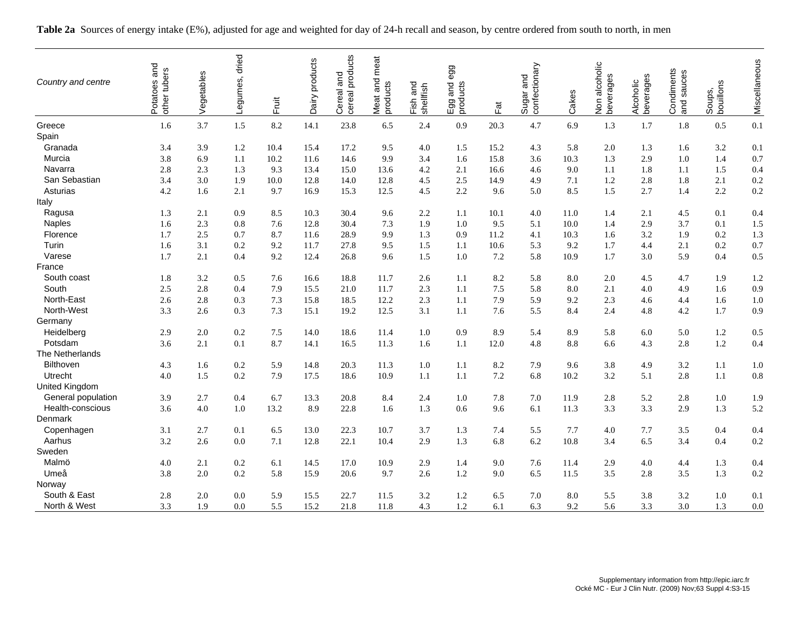| Country and centre | Potatoes and<br>other tubers | Vegetables | dried<br>Legumes, | Fruit | Dairy products | Cereal and<br>cereal products<br>and | meat<br>Meat and<br>products | and<br>shellfish<br>Fish | egg<br>lucts<br>and<br>i<br>Dorodi<br>D | $\overline{\overline{a}}$ | Sugar and<br>confectionary | Cakes | Non alcoholic<br>beverages | Alcoholic<br>beverages | Condiments<br>and sauces | bouillons<br>Soups, | Miscellaneous |
|--------------------|------------------------------|------------|-------------------|-------|----------------|--------------------------------------|------------------------------|--------------------------|-----------------------------------------|---------------------------|----------------------------|-------|----------------------------|------------------------|--------------------------|---------------------|---------------|
| Greece             | 1.6                          | 3.7        | 1.5               | 8.2   | 14.1           | 23.8                                 | 6.5                          | 2.4                      | 0.9                                     | 20.3                      | 4.7                        | 6.9   | 1.3                        | 1.7                    | 1.8                      | 0.5                 | 0.1           |
| Spain              |                              |            |                   |       |                |                                      |                              |                          |                                         |                           |                            |       |                            |                        |                          |                     |               |
| Granada            | 3.4                          | 3.9        | 1.2               | 10.4  | 15.4           | 17.2                                 | 9.5                          | 4.0                      | 1.5                                     | 15.2                      | 4.3                        | 5.8   | 2.0                        | 1.3                    | 1.6                      | 3.2                 | 0.1           |
| Murcia             | 3.8                          | 6.9        | 1.1               | 10.2  | 11.6           | 14.6                                 | 9.9                          | 3.4                      | 1.6                                     | 15.8                      | 3.6                        | 10.3  | 1.3                        | 2.9                    | 1.0                      | 1.4                 | 0.7           |
| Navarra            | 2.8                          | 2.3        | 1.3               | 9.3   | 13.4           | 15.0                                 | 13.6                         | 4.2                      | 2.1                                     | 16.6                      | 4.6                        | 9.0   | 1.1                        | 1.8                    | 1.1                      | 1.5                 | 0.4           |
| San Sebastian      | 3.4                          | 3.0        | 1.9               | 10.0  | 12.8           | 14.0                                 | 12.8                         | 4.5                      | 2.5                                     | 14.9                      | 4.9                        | 7.1   | 1.2                        | 2.8                    | 1.8                      | 2.1                 | 0.2           |
| Asturias           | 4.2                          | 1.6        | 2.1               | 9.7   | 16.9           | 15.3                                 | 12.5                         | 4.5                      | 2.2                                     | 9.6                       | 5.0                        | 8.5   | 1.5                        | 2.7                    | 1.4                      | 2.2                 | 0.2           |
| Italy              |                              |            |                   |       |                |                                      |                              |                          |                                         |                           |                            |       |                            |                        |                          |                     |               |
| Ragusa             | 1.3                          | 2.1        | 0.9               | 8.5   | 10.3           | 30.4                                 | 9.6                          | 2.2                      | 1.1                                     | 10.1                      | 4.0                        | 11.0  | 1.4                        | 2.1                    | 4.5                      | 0.1                 | 0.4           |
| <b>Naples</b>      | 1.6                          | 2.3        | 0.8               | 7.6   | 12.8           | 30.4                                 | 7.3                          | 1.9                      | 1.0                                     | 9.5                       | 5.1                        | 10.0  | 1.4                        | 2.9                    | 3.7                      | 0.1                 | 1.5           |
| Florence           | 1.7                          | 2.5        | 0.7               | 8.7   | 11.6           | 28.9                                 | 9.9                          | 1.3                      | 0.9                                     | 11.2                      | 4.1                        | 10.3  | 1.6                        | 3.2                    | 1.9                      | 0.2                 | 1.3           |
| Turin              | 1.6                          | 3.1        | 0.2               | 9.2   | 11.7           | 27.8                                 | 9.5                          | 1.5                      | 1.1                                     | 10.6                      | 5.3                        | 9.2   | 1.7                        | 4.4                    | 2.1                      | 0.2                 | 0.7           |
| Varese             | 1.7                          | 2.1        | 0.4               | 9.2   | 12.4           | 26.8                                 | 9.6                          | 1.5                      | 1.0                                     | 7.2                       | 5.8                        | 10.9  | 1.7                        | 3.0                    | 5.9                      | 0.4                 | 0.5           |
| France             |                              |            |                   |       |                |                                      |                              |                          |                                         |                           |                            |       |                            |                        |                          |                     |               |
| South coast        | 1.8                          | 3.2        | 0.5               | 7.6   | 16.6           | 18.8                                 | 11.7                         | 2.6                      | 1.1                                     | 8.2                       | 5.8                        | 8.0   | 2.0                        | 4.5                    | 4.7                      | 1.9                 | 1.2           |
| South              | 2.5                          | 2.8        | 0.4               | 7.9   | 15.5           | 21.0                                 | 11.7                         | 2.3                      | 1.1                                     | 7.5                       | 5.8                        | 8.0   | 2.1                        | 4.0                    | 4.9                      | 1.6                 | 0.9           |
| North-East         | 2.6                          | 2.8        | 0.3               | 7.3   | 15.8           | 18.5                                 | 12.2                         | 2.3                      | 1.1                                     | 7.9                       | 5.9                        | 9.2   | 2.3                        | 4.6                    | 4.4                      | 1.6                 | 1.0           |
| North-West         | 3.3                          | 2.6        | 0.3               | 7.3   | 15.1           | 19.2                                 | 12.5                         | 3.1                      | 1.1                                     | 7.6                       | 5.5                        | 8.4   | 2.4                        | 4.8                    | 4.2                      | 1.7                 | 0.9           |
| Germany            |                              |            |                   |       |                |                                      |                              |                          |                                         |                           |                            |       |                            |                        |                          |                     |               |
| Heidelberg         | 2.9                          | 2.0        | 0.2               | 7.5   | 14.0           | 18.6                                 | 11.4                         | 1.0                      | 0.9                                     | 8.9                       | 5.4                        | 8.9   | 5.8                        | 6.0                    | 5.0                      | 1.2                 | 0.5           |
| Potsdam            | 3.6                          | 2.1        | 0.1               | 8.7   | 14.1           | 16.5                                 | 11.3                         | 1.6                      | 1.1                                     | 12.0                      | 4.8                        | 8.8   | 6.6                        | 4.3                    | 2.8                      | 1.2                 | 0.4           |
| The Netherlands    |                              |            |                   |       |                |                                      |                              |                          |                                         |                           |                            |       |                            |                        |                          |                     |               |
| Bilthoven          | 4.3                          | 1.6        | 0.2               | 5.9   | 14.8           | 20.3                                 | 11.3                         | 1.0                      | 1.1                                     | 8.2                       | 7.9                        | 9.6   | 3.8                        | 4.9                    | 3.2                      | 1.1                 | 1.0           |
| Utrecht            | 4.0                          | 1.5        | 0.2               | 7.9   | 17.5           | 18.6                                 | 10.9                         | 1.1                      | 1.1                                     | 7.2                       | 6.8                        | 10.2  | 3.2                        | 5.1                    | 2.8                      | 1.1                 | 0.8           |
| United Kingdom     |                              |            |                   |       |                |                                      |                              |                          |                                         |                           |                            |       |                            |                        |                          |                     |               |
| General population | 3.9                          | 2.7        | 0.4               | 6.7   | 13.3           | 20.8                                 | 8.4                          | 2.4                      | 1.0                                     | 7.8                       | 7.0                        | 11.9  | 2.8                        | 5.2                    | 2.8                      | 1.0                 | 1.9           |
| Health-conscious   | 3.6                          | 4.0        | 1.0               | 13.2  | 8.9            | 22.8                                 | 1.6                          | 1.3                      | 0.6                                     | 9.6                       | 6.1                        | 11.3  | 3.3                        | 3.3                    | 2.9                      | 1.3                 | 5.2           |
| Denmark            |                              |            |                   |       |                |                                      |                              |                          |                                         |                           |                            |       |                            |                        |                          |                     |               |
| Copenhagen         | 3.1                          | 2.7        | 0.1               | 6.5   | 13.0           | 22.3                                 | 10.7                         | 3.7                      | 1.3                                     | 7.4                       | 5.5                        | 7.7   | 4.0                        | 7.7                    | 3.5                      | 0.4                 | 0.4           |
| Aarhus             | 3.2                          | 2.6        | 0.0               | 7.1   | 12.8           | 22.1                                 | 10.4                         | 2.9                      | 1.3                                     | 6.8                       | 6.2                        | 10.8  | 3.4                        | 6.5                    | 3.4                      | 0.4                 | 0.2           |
| Sweden             |                              |            |                   |       |                |                                      |                              |                          |                                         |                           |                            |       |                            |                        |                          |                     |               |
| Malmö              | 4.0                          | 2.1        | 0.2               | 6.1   | 14.5           | 17.0                                 | 10.9                         | 2.9                      | 1.4                                     | 9.0                       | 7.6                        | 11.4  | 2.9                        | 4.0                    | 4.4                      | 1.3                 | 0.4           |
| Umeå               | 3.8                          | 2.0        | 0.2               | 5.8   | 15.9           | 20.6                                 | 9.7                          | 2.6                      | 1.2                                     | 9.0                       | 6.5                        | 11.5  | 3.5                        | 2.8                    | 3.5                      | 1.3                 | 0.2           |
| Norway             |                              |            |                   |       |                |                                      |                              |                          |                                         |                           |                            |       |                            |                        |                          |                     |               |
| South & East       | 2.8                          | 2.0        | 0.0               | 5.9   | 15.5           | 22.7                                 | 11.5                         | 3.2                      | 1.2                                     | 6.5                       | 7.0                        | 8.0   | 5.5                        | 3.8                    | 3.2                      | 1.0                 | 0.1           |
| North & West       | 3.3                          | 1.9        | 0.0               | 5.5   | 15.2           | 21.8                                 | 11.8                         | 4.3                      | 1.2                                     | 6.1                       | 6.3                        | 9.2   | 5.6                        | 3.3                    | 3.0                      | 1.3                 | 0.0           |

**Table 2a** Sources of energy intake (E%), adjusted for age and weighted for day of 24-h recall and season, by centre ordered from south to north, in men